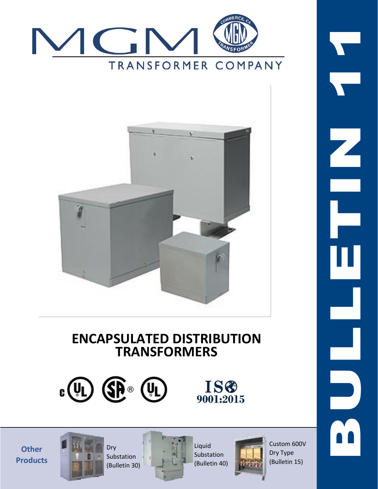



# **ENCAPSULATED DISTRIBUTION TRANSFORMERS**



**Other Products**





Substation (Bulletin 40)



Custom 600V Dry Type (Bulletin 15)



Liquid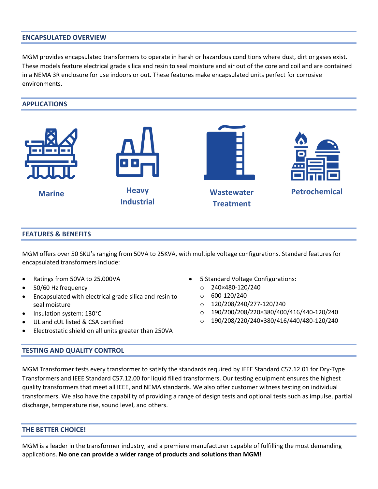#### **ENCAPSULATED OVERVIEW**

MGM provides encapsulated transformers to operate in harsh or hazardous conditions where dust, dirt or gases exist. These models feature electrical grade silica and resin to seal moisture and air out of the core and coil and are contained in a NEMA 3R enclosure for use indoors or out. These features make encapsulated units perfect for corrosive environments.

#### **APPLICATIONS**



#### **FEATURES & BENEFITS**

MGM offers over 50 SKU's ranging from 50VA to 25KVA, with multiple voltage configurations. Standard features for encapsulated transformers include:

- Ratings from 50VA to 25,000VA
- 50/60 Hz frequency
- Encapsulated with electrical grade silica and resin to seal moisture
- Insulation system: 130°C
- UL and cUL listed & CSA certified
- Electrostatic shield on all units greater than 250VA

#### **TESTING AND QUALITY CONTROL**

- 5 Standard Voltage Configurations:
	- o 240×480-120/240
	- $0.600 120/240$
	- $O = 120/208/240/277 120/240$
	- $O = 190/200/208/220 \times 380/400/416/440 120/240$
	- $O = 190/208/220/240 \times 380/416/440/480 120/240$

MGM Transformer tests every transformer to satisfy the standards required by IEEE Standard C57.12.01 for Dry-Type Transformers and IEEE Standard C57.12.00 for liquid filled transformers. Our testing equipment ensures the highest quality transformers that meet all IEEE, and NEMA standards. We also offer customer witness testing on individual transformers. We also have the capability of providing a range of design tests and optional tests such as impulse, partial discharge, temperature rise, sound level, and others.

#### **THE BETTER CHOICE!**

MGM is a leader in the transformer industry, and a premiere manufacturer capable of fulfilling the most demanding applications. **No one can provide a wider range of products and solutions than MGM!**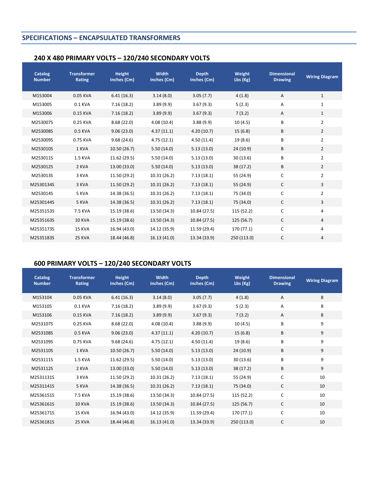# **SPECIFICATIONS – ENCAPSULATED TRANSFORMERS**

# **240 X 480 PRIMARY VOLTS – 120/240 SECONDARY VOLTS**

| <b>Catalog</b><br><b>Number</b> | <b>Transformer</b><br>Rating | <b>Height</b><br>Inches (Cm) | <b>Width</b><br>Inches (Cm) | <b>Depth</b><br>Inches (Cm) | Weight<br>Lbs (Kg) | <b>Dimensional</b><br><b>Drawing</b> | <b>Wiring Diagram</b> |
|---------------------------------|------------------------------|------------------------------|-----------------------------|-----------------------------|--------------------|--------------------------------------|-----------------------|
| M153004                         | 0.05 KVA                     | 6.41(16.3)                   | 3.14(8.0)                   | 3.05(7.7)                   | 4(1.8)             | Α                                    | $\mathbf{1}$          |
| M153005                         | 0.1 KVA                      | 7.16(18.2)                   | 3.89(9.9)                   | 3.67(9.3)                   | 5(2.3)             | Α                                    | $\mathbf 1$           |
| M153006                         | 0.15 KVA                     | 7.16(18.2)                   | 3.89(9.9)                   | 3.67(9.3)                   | 7(3.2)             | A                                    | $\mathbf{1}$          |
| M253007S                        | 0.25 KVA                     | 8.68(22.0)                   | 4.08(10.4)                  | 3.88(9.9)                   | 10(4.5)            | В                                    | $\overline{2}$        |
| M253008S                        | 0.5 KVA                      | 9.06(23.0)                   | 4.37(11.1)                  | 4.20(10.7)                  | 15(6.8)            | B                                    | $\overline{2}$        |
| M253009S                        | 0.75 KVA                     | 9.68(24.6)                   | 4.75(12.1)                  | 4.50(11.4)                  | 19 (8.6)           | В                                    | $\overline{2}$        |
| M253010S                        | 1 KVA                        | 10.50 (26.7)                 | 5.50(14.0)                  | 5.13(13.0)                  | 24(10.9)           | B                                    | $\overline{2}$        |
| M253011S                        | <b>1.5 KVA</b>               | 11.62 (29.5)                 | 5.50(14.0)                  | 5.13(13.0)                  | 30 (13.6)          | B                                    | $\overline{2}$        |
| M253012S                        | 2 KVA                        | 13.00 (33.0)                 | 5.50(14.0)                  | 5.13(13.0)                  | 38 (17.2)          | B                                    | $\overline{2}$        |
| M253013S                        | 3 KVA                        | 11.50 (29.2)                 | 10.31 (26.2)                | 7.13(18.1)                  | 55 (24.9)          | $\mathsf C$                          | $\overline{2}$        |
| M2530134S                       | 3 KVA                        | 11.50 (29.2)                 | 10.31(26.2)                 | 7.13(18.1)                  | 55 (24.9)          | $\mathsf{C}$                         | 3                     |
| M253014S                        | 5 KVA                        | 14.38 (36.5)                 | 10.31 (26.2)                | 7.13(18.1)                  | 75 (34.0)          | C                                    | $\overline{2}$        |
| M2530144S                       | 5 KVA                        | 14.38 (36.5)                 | 10.31(26.2)                 | 7.13(18.1)                  | 75 (34.0)          | $\mathsf{C}$                         | 3                     |
| M2535153S                       | 7.5 KVA                      | 15.19 (38.6)                 | 13.50 (34.3)                | 10.84 (27.5)                | 115 (52.2)         | $\mathsf C$                          | 4                     |
| M2535163S                       | <b>10 KVA</b>                | 15.19 (38.6)                 | 13.50 (34.3)                | 10.84 (27.5)                | 125(56.7)          | $\mathsf{C}$                         | 4                     |
| M2535173S                       | 15 KVA                       | 16.94 (43.0)                 | 14.12 (35.9)                | 11.59 (29.4)                | 170 (77.1)         | С                                    | 4                     |
| M2535183S                       | 25 KVA                       | 18.44 (46.8)                 | 16.13 (41.0)                | 13.34 (33.9)                | 250 (113.0)        | C                                    | 4                     |

# **600 PRIMARY VOLTS – 120/240 SECONDARY VOLTS**

| <b>Catalog</b><br><b>Number</b> | <b>Transformer</b><br>Rating | <b>Height</b><br>Inches (Cm) | <b>Width</b><br>Inches (Cm) | <b>Depth</b><br>Inches (Cm) | Weight<br>Lbs (Kg) | <b>Dimensional</b><br><b>Drawing</b> | <b>Wiring Diagram</b> |
|---------------------------------|------------------------------|------------------------------|-----------------------------|-----------------------------|--------------------|--------------------------------------|-----------------------|
| M153104                         | 0.05 KVA                     | 6.41(16.3)                   | 3.14(8.0)                   | 3.05(7.7)                   | 4(1.8)             | $\overline{A}$                       | 8                     |
| M153105                         | 0.1 KVA                      | 7.16(18.2)                   | 3.89(9.9)                   | 3.67(9.3)                   | 5(2.3)             | A                                    | 8                     |
| M153106                         | 0.15 KVA                     | 7.16(18.2)                   | 3.89(9.9)                   | 3.67(9.3)                   | 7(3.2)             | $\overline{A}$                       | 8                     |
| M253107S                        | 0.25 KVA                     | 8.68(22.0)                   | 4.08(10.4)                  | 3.88(9.9)                   | 10(4.5)            | B                                    | 9                     |
| M253108S                        | 0.5 KVA                      | 9.06(23.0)                   | 4.37(11.1)                  | 4.20(10.7)                  | 15(6.8)            | B                                    | 9                     |
| M253109S                        | 0.75 KVA                     | 9.68(24.6)                   | 4.75(12.1)                  | 4.50(11.4)                  | 19 (8.6)           | B                                    | 9                     |
| M253110S                        | 1 KVA                        | 10.50 (26.7)                 | 5.50(14.0)                  | 5.13(13.0)                  | 24(10.9)           | B                                    | 9                     |
| M253111S                        | <b>1.5 KVA</b>               | 11.62 (29.5)                 | 5.50(14.0)                  | 5.13(13.0)                  | 30(13.6)           | B                                    | 9                     |
| M253112S                        | 2 KVA                        | 13.00 (33.0)                 | 5.50(14.0)                  | 5.13(13.0)                  | 38 (17.2)          | B                                    | 9                     |
| M2531131S                       | 3 KVA                        | 11.50 (29.2)                 | 10.31 (26.2)                | 7.13(18.1)                  | 55 (24.9)          | C                                    | 10                    |
| M2531141S                       | 5 KVA                        | 14.38 (36.5)                 | 10.31(26.2)                 | 7.13(18.1)                  | 75 (34.0)          | $\mathsf{C}$                         | 10                    |
| M2536151S                       | 7.5 KVA                      | 15.19 (38.6)                 | 13.50 (34.3)                | 10.84 (27.5)                | 115 (52.2)         | $\mathsf{C}$                         | 10                    |
| M2536161S                       | <b>10 KVA</b>                | 15.19 (38.6)                 | 13.50 (34.3)                | 10.84 (27.5)                | 125 (56.7)         | $\mathsf{C}$                         | 10                    |
| M2536171S                       | 15 KVA                       | 16.94 (43.0)                 | 14.12 (35.9)                | 11.59 (29.4)                | 170 (77.1)         | $\mathsf{C}$                         | 10                    |
| M2536181S                       | 25 KVA                       | 18.44 (46.8)                 | 16.13 (41.0)                | 13.34 (33.9)                | 250 (113.0)        | C                                    | 10                    |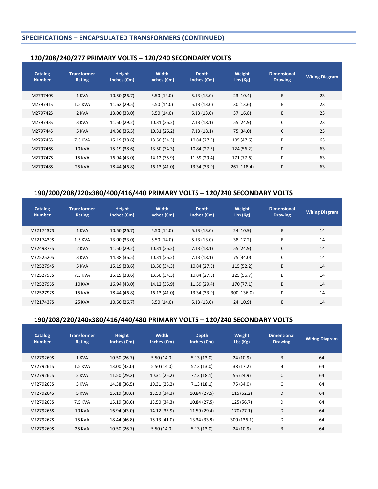# **SPECIFICATIONS – ENCAPSULATED TRANSFORMERS (CONTINUED)**

# **120/208/240/277 PRIMARY VOLTS – 120/240 SECONDARY VOLTS**

| Catalog<br><b>Number</b> | <b>Transformer</b><br>Rating | Height<br>Inches (Cm) | Width<br>Inches (Cm) | <b>Depth</b><br>Inches (Cm) | Weight<br>Lbs (Kg) | <b>Dimensional</b><br><b>Drawing</b> | <b>Wiring Diagram</b> |
|--------------------------|------------------------------|-----------------------|----------------------|-----------------------------|--------------------|--------------------------------------|-----------------------|
| M279740S                 | 1 KVA                        | 10.50 (26.7)          | 5.50(14.0)           | 5.13(13.0)                  | 23(10.4)           | B                                    | 23                    |
| M279741S                 | <b>1.5 KVA</b>               | 11.62 (29.5)          | 5.50(14.0)           | 5.13(13.0)                  | 30(13.6)           | B                                    | 23                    |
| M279742S                 | 2 KVA                        | 13.00 (33.0)          | 5.50(14.0)           | 5.13(13.0)                  | 37(16.8)           | B                                    | 23                    |
| M279743S                 | 3 KVA                        | 11.50 (29.2)          | 10.31 (26.2)         | 7.13(18.1)                  | 55 (24.9)          | C                                    | 23                    |
| M279744S                 | 5 KVA                        | 14.38 (36.5)          | 10.31(26.2)          | 7.13(18.1)                  | 75 (34.0)          | $\mathsf{C}$                         | 23                    |
| M279745S                 | 7.5 KVA                      | 15.19 (38.6)          | 13.50 (34.3)         | 10.84 (27.5)                | 105 (47.6)         | D                                    | 63                    |
| M279746S                 | <b>10 KVA</b>                | 15.19 (38.6)          | 13.50 (34.3)         | 10.84 (27.5)                | 124 (56.2)         | D                                    | 63                    |
| M279747S                 | 15 KVA                       | 16.94 (43.0)          | 14.12 (35.9)         | 11.59 (29.4)                | 171 (77.6)         | D                                    | 63                    |
| M279748S                 | 25 KVA                       | 18.44 (46.8)          | 16.13(41.0)          | 13.34 (33.9)                | 261 (118.4)        | D                                    | 63                    |

# **190/200/208/220x380/400/416/440 PRIMARY VOLTS – 120/240 SECONDARY VOLTS**

| Catalog<br><b>Number</b> | <b>Transformer</b><br>Rating | Height<br>Inches (Cm) | Width<br>Inches (Cm) | <b>Depth</b><br>Inches (Cm) | Weight<br>Lbs(Kg) | <b>Dimensional</b><br><b>Drawing</b> | <b>Wiring Diagram</b> |
|--------------------------|------------------------------|-----------------------|----------------------|-----------------------------|-------------------|--------------------------------------|-----------------------|
| MF217437S                | 1 KVA                        | 10.50 (26.7)          | 5.50(14.0)           | 5.13(13.0)                  | 24(10.9)          | B                                    | 14                    |
| MF217439S                | <b>1.5 KVA</b>               | 13.00 (33.0)          | 5.50(14.0)           | 5.13(13.0)                  | 38(17.2)          | B                                    | 14                    |
| MF249873S                | 2 KVA                        | 11.50 (29.2)          | 10.31 (26.2)         | 7.13(18.1)                  | 55 (24.9)         | C                                    | 14                    |
| MF252520S                | 3 KVA                        | 14.38 (36.5)          | 10.31 (26.2)         | 7.13(18.1)                  | 75 (34.0)         | C                                    | 14                    |
| MF252794S                | 5 KVA                        | 15.19 (38.6)          | 13.50 (34.3)         | 10.84 (27.5)                | 115 (52.2)        | D                                    | 14                    |
| MF252795S                | 7.5 KVA                      | 15.19 (38.6)          | 13.50 (34.3)         | 10.84 (27.5)                | 125 (56.7)        | D                                    | 14                    |
| MF252796S                | <b>10 KVA</b>                | 16.94 (43.0)          | 14.12 (35.9)         | 11.59 (29.4)                | 170 (77.1)        | D                                    | 14                    |
| MF252797S                | 15 KVA                       | 18.44 (46.8)          | 16.13 (41.0)         | 13.34 (33.9)                | 300 (136.0)       | D                                    | 14                    |
| MF217437S                | 25 KVA                       | 10.50 (26.7)          | 5.50(14.0)           | 5.13(13.0)                  | 24(10.9)          | B                                    | 14                    |

# **190/208/220/240x380/416/440/480 PRIMARY VOLTS – 120/240 SECONDARY VOLTS**

| <b>Catalog</b><br><b>Number</b> | <b>Transformer</b><br>Rating | Height<br>Inches (Cm) | <b>Width</b><br>Inches (Cm) | <b>Depth</b><br>Inches (Cm) | Weight<br>Lbs(Kg) | <b>Dimensional</b><br><b>Drawing</b> | <b>Wiring Diagram</b> |
|---------------------------------|------------------------------|-----------------------|-----------------------------|-----------------------------|-------------------|--------------------------------------|-----------------------|
| MF279260S                       | 1 KVA                        | 10.50 (26.7)          | 5.50(14.0)                  | 5.13(13.0)                  | 24 (10.9)         | B                                    | 64                    |
| MF279261S                       | <b>1.5 KVA</b>               | 13.00 (33.0)          | 5.50(14.0)                  | 5.13(13.0)                  | 38 (17.2)         | B                                    | 64                    |
| MF279262S                       | 2 KVA                        | 11.50 (29.2)          | 10.31 (26.2)                | 7.13(18.1)                  | 55 (24.9)         | C                                    | 64                    |
| MF279263S                       | 3 KVA                        | 14.38 (36.5)          | 10.31 (26.2)                | 7.13(18.1)                  | 75 (34.0)         | C                                    | 64                    |
| MF279264S                       | 5 KVA                        | 15.19 (38.6)          | 13.50 (34.3)                | 10.84 (27.5)                | 115(52.2)         | D                                    | 64                    |
| MF279265S                       | 7.5 KVA                      | 15.19 (38.6)          | 13.50 (34.3)                | 10.84 (27.5)                | 125 (56.7)        | D                                    | 64                    |
| MF279266S                       | <b>10 KVA</b>                | 16.94 (43.0)          | 14.12 (35.9)                | 11.59 (29.4)                | 170(77.1)         | D                                    | 64                    |
| MF279267S                       | 15 KVA                       | 18.44 (46.8)          | 16.13 (41.0)                | 13.34 (33.9)                | 300 (136.1)       | D                                    | 64                    |
| MF279260S                       | 25 KVA                       | 10.50 (26.7)          | 5.50(14.0)                  | 5.13(13.0)                  | 24(10.9)          | B                                    | 64                    |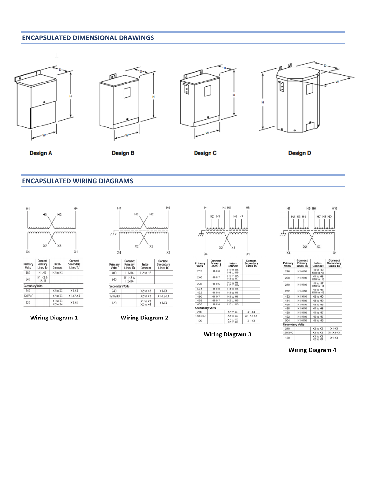## **ENCAPSULATED DIMENSIONAL DRAWINGS**









**Design A** 

**Design B** 

**Design C** 

**Design D** 

### **ENCAPSULATED WIRING DIAGRAMS**



Inter-<br>Connect

H<sub>2</sub> to H<sub>3</sub>

X2 to X3

 $X2$  to  $X3$ 

X1 to X3<br>X2 to X4

 $X1-X4$ 

 $X1-X2-X4$ 

 $X1-X4$ 

Primary<br>Volts

480

240

120/240

120

Secondary Volts

Primary<br>Lines To

 $H1-H4$ 

 $H1-H3 & 8H2-H4$ 

| H <sub>1</sub>                       | H4 |
|--------------------------------------|----|
| H3<br>H <sub>2</sub>                 |    |
| ,,,,,,,,,<br><br>mmmmm<br>mmmm<br>Π7 |    |
| X <sub>2</sub><br>X3                 |    |
| X4                                   | X1 |

| Primary<br>Volts       | ~~*****<br>Primary<br><b>Lines To</b> | Inter-<br>Connect                | $-$<br>Secondary<br>Lines To |
|------------------------|---------------------------------------|----------------------------------|------------------------------|
| 480                    | $H1-H4$                               | H <sub>2</sub> to H <sub>3</sub> |                              |
| 240                    | H1-H3 &<br>$H2-H4$                    |                                  |                              |
| <b>Secondary Volts</b> |                                       |                                  |                              |
| 240                    |                                       | X2 to X3                         | $X1-X4$                      |
| 120/240                |                                       | X2 to X3                         | $X1-X2-X4$                   |
| 120                    |                                       | X1 to X3<br>X2 to X4             | $X1-X4$                      |

**Wiring Diagram 1** 

**Wiring Diagram 2** 





**Wiring Diagram 3** 



| Primary<br>Volts       | Connect<br>Primary<br><b>Lines To</b> | Inter-<br>Connect        | Connect<br>Secondary<br>Lines To |
|------------------------|---------------------------------------|--------------------------|----------------------------------|
| 216                    | H1-H10                                | H1 to H9<br>H10 to H2    |                                  |
| 228                    | H1-H10                                | H1 to H8<br>H10 to H3    |                                  |
| 240                    | H1-H10                                | H1 to H7<br>H10 to H4    |                                  |
| 252                    | H1-H10                                | H1 to H6<br>H10 to H5    |                                  |
| 432                    | H1-H10                                | H2 to H9                 |                                  |
| 444                    | H1-H10                                | H3 to H9                 |                                  |
| 456                    | H1-H10                                | H3 to H8                 |                                  |
| 468                    | H1-H10                                | <b>H4 to H8</b>          |                                  |
| 480                    | H1-H10                                | H4 to H7                 |                                  |
| 492                    | H1-H10                                | H5 to H7                 |                                  |
| 504                    | <b>H1-H10</b>                         | H5 to H6                 |                                  |
| <b>Secondary Volts</b> |                                       |                          |                                  |
| 240                    |                                       | X2 to X3                 | $X1-X4$                          |
| 120/240                |                                       | $X2$ to $X3$             | $X1 - X3 - X4$                   |
| 120                    |                                       | $X1$ to $X3$<br>X2 to X4 | $X1-X4$                          |

**Wiring Diagram 4**